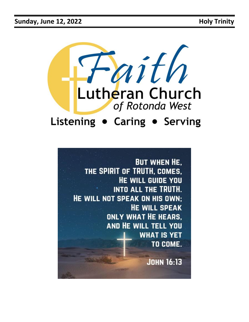

**BUT WHEN HE.** THE SPIRIT OF TRUTH, COMES, **HE WILL GUIDE YOU INTO ALL THE TRUTH.** HE WILL NOT SPEAK ON HIS OWN; **HE WILL SPEAK ONLY WHAT HE HEARS,** AND HE WILL TELL YOU **WHAT IS YET** TO COME. **JOHN 16:13**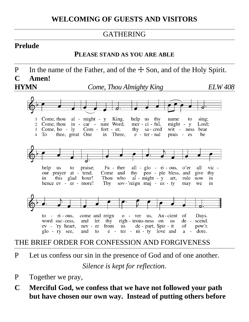#### **WELCOMING OF GUESTS AND VISITORS**

#### GATHERING

#### **Prelude**

#### **PLEASE STAND AS YOU ARE ABLE**

P In the name of the Father, and of the  $\pm$  Son, and of the Holy Spirit. **C Amen! HYMN** *Come, Thou Almighty King ELW 408*



#### THE BRIEF ORDER FOR CONFESSION AND FORGIVENESS

P Let us confess our sin in the presence of God and of one another. *Silence is kept for reflection.*

P Together we pray,

**C Merciful God, we confess that we have not followed your path but have chosen our own way. Instead of putting others before**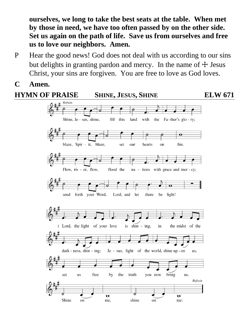**ourselves, we long to take the best seats at the table. When met by those in need, we have too often passed by on the other side. Set us again on the path of life. Save us from ourselves and free us to love our neighbors. Amen.**

- P Hear the good news! God does not deal with us according to our sins but delights in granting pardon and mercy. In the name of  $\pm$  Jesus Christ, your sins are forgiven. You are free to love as God loves.
- **C Amen.**

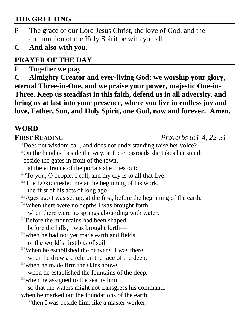## **THE GREETING**

- P The grace of our Lord Jesus Christ, the love of God, and the communion of the Holy Spirit be with you all.
- **C And also with you.**

# **PRAYER OF THE DAY**

P Together we pray,

**C Almighty Creator and ever-living God: we worship your glory, eternal Three-in-One, and we praise your power, majestic One-in-Three. Keep us steadfast in this faith, defend us in all adversity, and bring us at last into your presence, where you live in endless joy and love, Father, Son, and Holy Spirit, one God, now and forever. Amen.**

# **WORD**

| <b>FIRST READING</b>                                                                  | <i>Proverbs 8:1-4, 22-31</i> |
|---------------------------------------------------------------------------------------|------------------------------|
| Does not wisdom call, and does not understanding raise her voice?                     |                              |
| $2$ On the heights, beside the way, at the crossroads she takes her stand;            |                              |
| <sup>3</sup> beside the gates in front of the town,                                   |                              |
| at the entrance of the portals she cries out:                                         |                              |
| <sup>4"</sup> To you, O people, I call, and my cry is to all that live.               |                              |
| <sup>22</sup> The LORD created me at the beginning of his work,                       |                              |
| the first of his acts of long ago.                                                    |                              |
| <sup>23</sup> Ages ago I was set up, at the first, before the beginning of the earth. |                              |
| <sup>24</sup> When there were no depths I was brought forth,                          |                              |
| when there were no springs abounding with water.                                      |                              |
| <sup>25</sup> Before the mountains had been shaped,                                   |                              |
| before the hills, I was brought forth—                                                |                              |
| <sup>26</sup> when he had not yet made earth and fields,                              |                              |
| or the world's first bits of soil.                                                    |                              |
| <sup>27</sup> When he established the heavens, I was there,                           |                              |
| when he drew a circle on the face of the deep,                                        |                              |
| <sup>28</sup> when he made firm the skies above,                                      |                              |
| when he established the fountains of the deep,                                        |                              |
| <sup>29</sup> when he assigned to the sea its limit,                                  |                              |
| so that the waters might not transgress his command,                                  |                              |
| when he marked out the foundations of the earth,                                      |                              |
| <sup>30</sup> then I was beside him, like a master worker;                            |                              |
|                                                                                       |                              |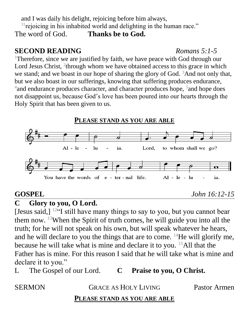and I was daily his delight, rejoicing before him always,  $31$  rejoicing in his inhabited world and delighting in the human race." The word of God. **Thanks be to God.** 

#### **SECOND READING** *Romans 5:1-5*

<sup>1</sup>Therefore, since we are justified by faith, we have peace with God through our Lord Jesus Christ, <sup>2</sup>through whom we have obtained access to this grace in which we stand; and we boast in our hope of sharing the glory of God. <sup>3</sup>And not only that, but we also boast in our sufferings, knowing that suffering produces endurance, <sup>4</sup> and endurance produces character, and character produces hope, <sup>5</sup> and hope does not disappoint us, because God's love has been poured into our hearts through the Holy Spirit that has been given to us.



**GOSPEL** *John 16:12-15*

### **C Glory to you, O Lord.**

[Jesus said,]  $12 \cdot$  still have many things to say to you, but you cannot bear them now. <sup>13</sup>When the Spirit of truth comes, he will guide you into all the truth; for he will not speak on his own, but will speak whatever he hears, and he will declare to you the things that are to come. <sup>14</sup>He will glorify me, because he will take what is mine and declare it to you.  $15$ All that the Father has is mine. For this reason I said that he will take what is mine and declare it to you."

L The Gospel of our Lord. **C Praise to you, O Christ.**

SERMON GRACE AS HOLY LIVING Pastor Armen

#### **PLEASE STAND AS YOU ARE ABLE**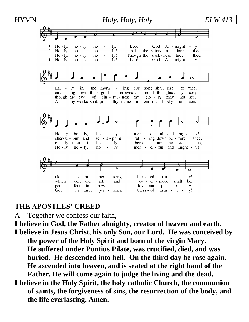

#### **THE APOSTLES' CREED**

- A Together we confess our faith,
- **I believe in God, the Father almighty, creator of heaven and earth. I believe in Jesus Christ, his only Son, our Lord. He was conceived by the power of the Holy Spirit and born of the virgin Mary. He suffered under Pontius Pilate, was crucified, died, and was buried. He descended into hell. On the third day he rose again. He ascended into heaven, and is seated at the right hand of the Father. He will come again to judge the living and the dead.**
- **I believe in the Holy Spirit, the holy catholic Church, the communion of saints, the forgiveness of sins, the resurrection of the body, and the life everlasting. Amen.**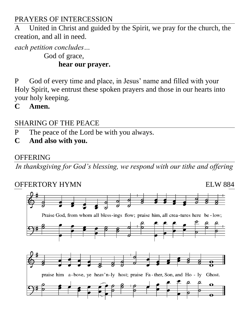#### PRAYERS OF INTERCESSION

A United in Christ and guided by the Spirit, we pray for the church, the creation, and all in need.

*each petition concludes…*  God of grace, **hear our prayer.**

P God of every time and place, in Jesus' name and filled with your Holy Spirit, we entrust these spoken prayers and those in our hearts into your holy keeping.

**C Amen.**

## SHARING OF THE PEACE

- P The peace of the Lord be with you always.
- **C And also with you.**

### **OFFERING**

*In thanksgiving for God's blessing, we respond with our tithe and offering*

# OFFERTORY HYMN ELW 884

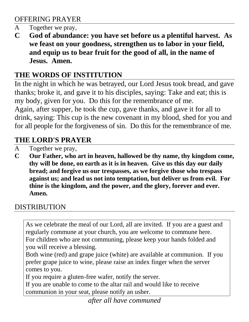## OFFERING PRAYER

- A Together we pray,
- **C God of abundance: you have set before us a plentiful harvest. As we feast on your goodness, strengthen us to labor in your field, and equip us to bear fruit for the good of all, in the name of Jesus. Amen.**

# **THE WORDS OF INSTITUTION**

In the night in which he was betrayed, our Lord Jesus took bread, and gave thanks; broke it, and gave it to his disciples, saying: Take and eat; this is my body, given for you. Do this for the remembrance of me. Again, after supper, he took the cup, gave thanks, and gave it for all to drink, saying: This cup is the new covenant in my blood, shed for you and for all people for the forgiveness of sin. Do this for the remembrance of me.

# **THE LORD'S PRAYER**

- A Together we pray,
- **C Our Father, who art in heaven, hallowed be thy name, thy kingdom come, thy will be done, on earth as it is in heaven. Give us this day our daily bread; and forgive us our trespasses, as we forgive those who trespass against us; and lead us not into temptation, but deliver us from evil. For thine is the kingdom, and the power, and the glory, forever and ever. Amen.**

# DISTRIBUTION

As we celebrate the meal of our Lord, all are invited. If you are a guest and regularly commune at your church, you are welcome to commune here. For children who are not communing, please keep your hands folded and you will receive a blessing.

Both wine (red) and grape juice (white) are available at communion. If you prefer grape juice to wine, please raise an index finger when the server comes to you.

If you require a gluten-free wafer, notify the server.

If you are unable to come to the altar rail and would like to receive communion in your seat, please notify an usher.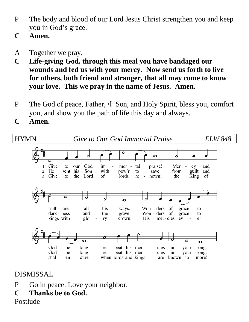- P The body and blood of our Lord Jesus Christ strengthen you and keep you in God's grace.
- **C Amen.**
- A Together we pray,
- **C Life-giving God, through this meal you have bandaged our wounds and fed us with your mercy. Now send us forth to live for others, both friend and stranger, that all may come to know your love. This we pray in the name of Jesus. Amen.**
- P The God of peace, Father,  $\pm$  Son, and Holy Spirit, bless you, comfort you, and show you the path of life this day and always.
- **C Amen.**



# DISMISSAL

- P Go in peace. Love your neighbor.
- **C Thanks be to God.**

Postlude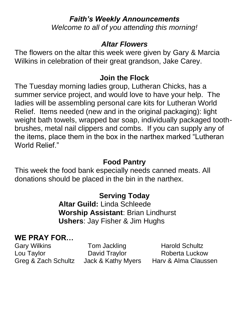### *Faith's Weekly Announcements Welcome to all of you attending this morning!*

### *Altar Flowers*

The flowers on the altar this week were given by Gary & Marcia Wilkins in celebration of their great grandson, Jake Carey.

### **Join the Flock**

The Tuesday morning ladies group, Lutheran Chicks, has a summer service project, and would love to have your help. The ladies will be assembling personal care kits for Lutheran World Relief. Items needed (new and in the original packaging): light weight bath towels, wrapped bar soap, individually packaged toothbrushes, metal nail clippers and combs. If you can supply any of the items, place them in the box in the narthex marked "Lutheran World Relief."

### **Food Pantry**

This week the food bank especially needs canned meats. All donations should be placed in the bin in the narthex.

# **Serving Today**

**Altar Guild:** Linda Schleede **Worship Assistant**: Brian Lindhurst **Ushers**: Jay Fisher & Jim Hughs

# **WE PRAY FOR…**

Gary Wilkins **Tom Jackling Harold Schultz** Lou Taylor **David Traylor** Roberta Luckow

Greg & Zach Schultz Jack & Kathy Myers Harv & Alma Claussen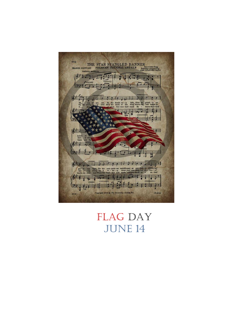

FLAG DAY JUNE 14